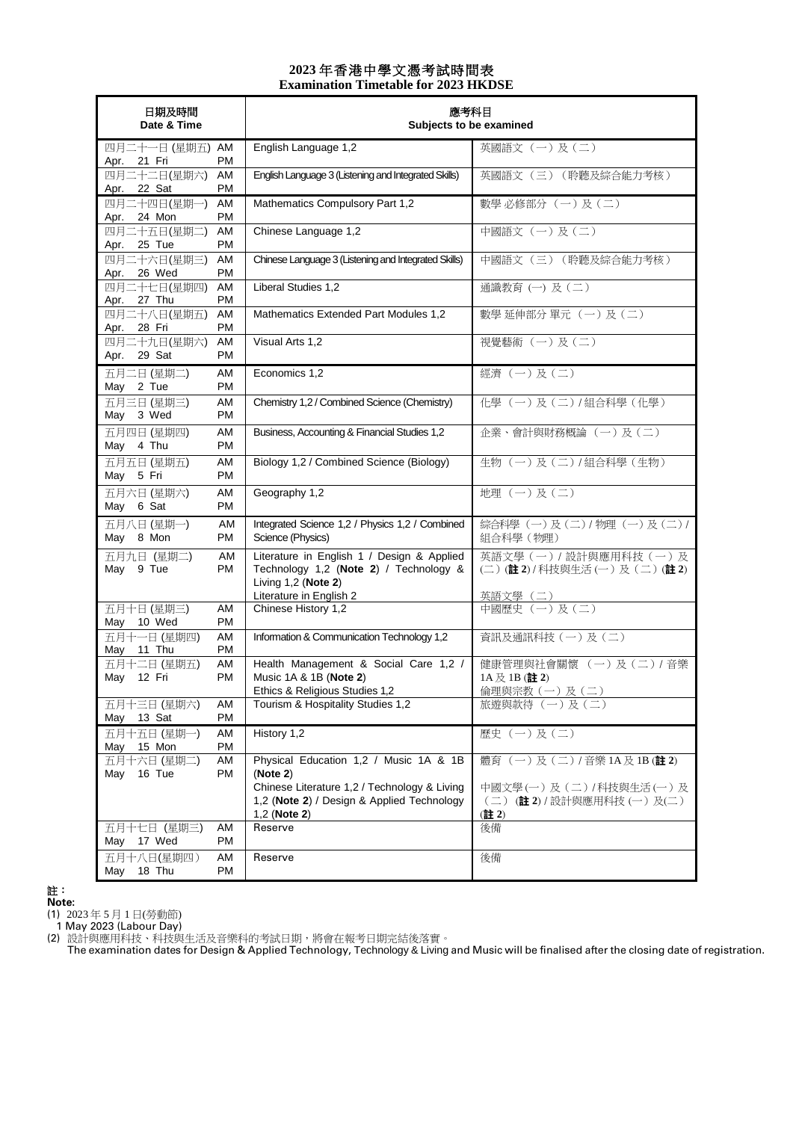## **2023** 年香港中學文憑考試時間表 **Examination Timetable for 2023 HKDSE**

| 日期及時間<br>Date & Time                    |                 | 應考科目<br>Subjects to be examined                                                                             |                                                                            |
|-----------------------------------------|-----------------|-------------------------------------------------------------------------------------------------------------|----------------------------------------------------------------------------|
| 四月二十一日 (星期五) AM<br>Apr. 21 Fri          | PM              | English Language 1,2                                                                                        | 英國語文 (一)及(二)                                                               |
| 四月二十二日(星期六)<br>22 Sat<br>Apr.           | AM<br>PM        | English Language 3 (Listening and Integrated Skills)                                                        | 英國語文 (三) (聆聽及綜合能力考核)                                                       |
| 四月二十四日(星期一)<br>Apr. 24 Mon              | AM<br>PM        | Mathematics Compulsory Part 1,2                                                                             | 數學必修部分 (一)及(二)                                                             |
| 四月二十五日(星期二)<br>25 Tue<br>Apr.           | AM<br>PM        | Chinese Language 1,2                                                                                        | 中國語文 (一)及(二)                                                               |
| 四月二十六日(星期三)<br>Apr. 26 Wed              | AM<br>PM        | Chinese Language 3 (Listening and Integrated Skills)                                                        | 中國語文 (三) (聆聽及綜合能力考核)                                                       |
| 四月二十七日(星期四)<br>27 Thu<br>Apr.           | AM<br>PM        | Liberal Studies 1,2                                                                                         | 通識教育(一)及(二)                                                                |
| 四月二十八日(星期五)<br>Apr. 28 Fri              | AM<br>PM        | Mathematics Extended Part Modules 1,2                                                                       | 數學 延伸部分 單元 (一)及(二)                                                         |
| 四月二十九日(星期六)<br>29 Sat<br>Apr.           | AM<br><b>PM</b> | Visual Arts 1,2                                                                                             | 視覺藝術 (一)及(二)                                                               |
| 五月二日 (星期二)<br>May 2 Tue                 | AM<br>PM        | Economics 1,2                                                                                               | 經濟 (一) 及(二)                                                                |
| 五月三日 (星期三)<br>May 3 Wed                 | AM<br>PM        | Chemistry 1,2 / Combined Science (Chemistry)                                                                | 化學 (一)及(二)/組合科學 (化學)                                                       |
| 五月四日 (星期四)<br>May 4 Thu                 | AM<br>PM        | Business, Accounting & Financial Studies 1,2                                                                | 企業、會計與財務概論 (一)及(二)                                                         |
| 五月五日 (星期五)<br>May 5 Fri                 | AM<br>PM        | Biology 1,2 / Combined Science (Biology)                                                                    | 生物(一)及(二)/組合科學(生物)                                                         |
| 五月六日 (星期六)<br>May 6 Sat                 | AM<br>PM        | Geography 1,2                                                                                               | 地理(一)及(二)                                                                  |
| 五月八日 (星期一)<br>May 8 Mon                 | AM<br>PM        | Integrated Science 1,2 / Physics 1,2 / Combined<br>Science (Physics)                                        | 綜合科學 (一)及(二) / 物理 (一)及(二) /<br>組合科學 (物理)                                   |
| 五月九日 (星期二)<br>May 9 Tue                 | AM<br>PM        | Literature in English 1 / Design & Applied<br>Technology 1,2 (Note 2) / Technology &<br>Living 1,2 (Note 2) | 英語文學(一) / 設計與應用科技(一)及<br>(二) (註2) / 科技與生活 (一) 及 (二) (註2)                   |
| 五月十日 (星期三)                              | AM<br>PM        | Literature in English 2<br>Chinese History 1,2                                                              | 英語文學 (二)<br>中國歷史 (一)及(二)                                                   |
| May 10 Wed<br>五月十一日 (星期四)<br>May 11 Thu | AM<br>PM        | Information & Communication Technology 1,2                                                                  | 資訊及通訊科技 (一)及(二)                                                            |
| 五月十二日 (星期五)<br>May 12 Fri               | AM<br>PM        | Health Management & Social Care 1,2 /<br>Music 1A & 1B (Note 2)<br>Ethics & Religious Studies 1,2           | 健康管理與社會關懷 (一)及(二)/音樂<br>$1A \not\trianglerighteq 1B$ (註 2)<br>倫理與宗教(一)及(二) |
| 五月十三日 (星期六)<br>May<br>13 Sat            | AM<br>PM        | Tourism & Hospitality Studies 1,2                                                                           | 旅遊與款待(一)及(二)                                                               |
| 五月十五日 (星期一)<br>May 15 Mon               | AM<br>PM        | History 1,2                                                                                                 | 歷史 (一)及(二)                                                                 |
| 五月十六日 (星期二)<br>16 Tue<br>May            | AM<br>PM        | Physical Education 1,2 / Music 1A & 1B<br>(Note 2)                                                          | 體育 (一)及(二)/音樂1A及1B(註2)                                                     |
|                                         |                 | Chinese Literature 1,2 / Technology & Living<br>1,2 (Note 2) / Design & Applied Technology<br>1,2 (Note 2)  | 中國文學(一)及(二)/科技與生活(一)及<br>(二) (註2) /設計與應用科技(一)及(二)<br>(註2)                  |
| 五月十七日 (星期三)<br>17 Wed<br>May            | AM<br>PM        | Reserve                                                                                                     | 後備                                                                         |
| 五月十八日(星期四)<br>18 Thu<br>May             | AM<br>PM        | Reserve                                                                                                     | 後備                                                                         |

註:

**Note:**

(1) 2023 年 5 月 1 日(勞動節)

1 May 2023 (Labour Day) (2) 設計與應用科技、科技與生活及音樂科的考試日期,將會在報考日期完結後落實。

The examination dates for Design & Applied Technology, Technology & Living and Music will be finalised after the closing date of registration.